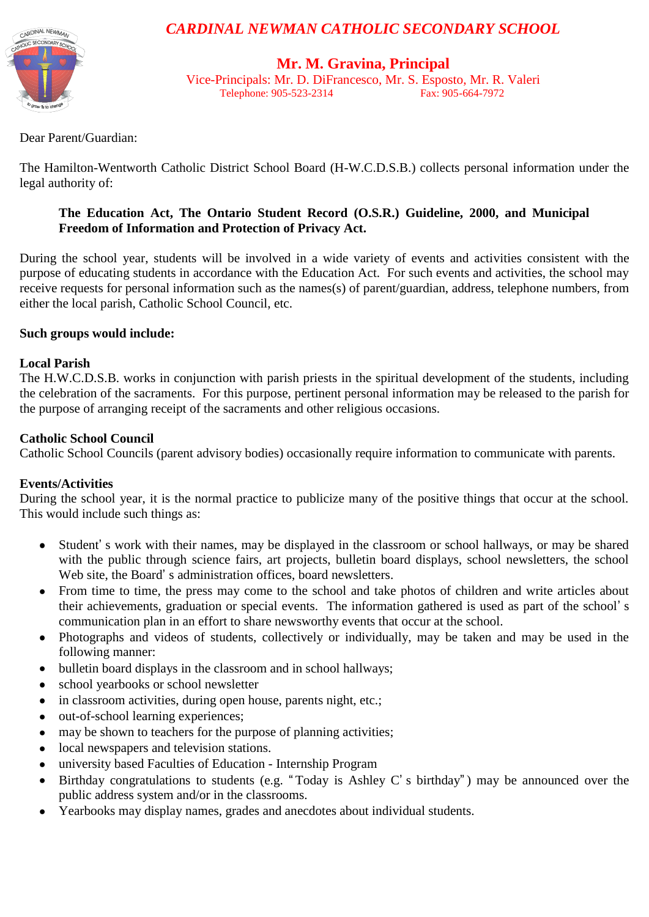

# *CARDINAL NEWMAN CATHOLIC SECONDARY SCHOOL*

# **Mr. M. Gravina, Principal**

Vice-Principals: Mr. D. DiFrancesco, Mr. S. Esposto, Mr. R. Valeri Telephone: 905-523-2314

Dear Parent/Guardian:

The Hamilton-Wentworth Catholic District School Board (H-W.C.D.S.B.) collects personal information under the legal authority of:

# **The Education Act, The Ontario Student Record (O.S.R.) Guideline, 2000, and Municipal Freedom of Information and Protection of Privacy Act.**

During the school year, students will be involved in a wide variety of events and activities consistent with the purpose of educating students in accordance with the Education Act. For such events and activities, the school may receive requests for personal information such as the names(s) of parent/guardian, address, telephone numbers, from either the local parish, Catholic School Council, etc.

#### **Such groups would include:**

#### **Local Parish**

The H.W.C.D.S.B. works in conjunction with parish priests in the spiritual development of the students, including the celebration of the sacraments. For this purpose, pertinent personal information may be released to the parish for the purpose of arranging receipt of the sacraments and other religious occasions.

#### **Catholic School Council**

Catholic School Councils (parent advisory bodies) occasionally require information to communicate with parents.

# **Events/Activities**

During the school year, it is the normal practice to publicize many of the positive things that occur at the school. This would include such things as:

- Student' s work with their names, may be displayed in the classroom or school hallways, or may be shared  $\bullet$ with the public through science fairs, art projects, bulletin board displays, school newsletters, the school Web site, the Board' s administration offices, board newsletters.
- From time to time, the press may come to the school and take photos of children and write articles about  $\bullet$ their achievements, graduation or special events. The information gathered is used as part of the school' s communication plan in an effort to share newsworthy events that occur at the school.
- Photographs and videos of students, collectively or individually, may be taken and may be used in the  $\bullet$ following manner:
- bulletin board displays in the classroom and in school hallways;  $\bullet$
- school yearbooks or school newsletter
- in classroom activities, during open house, parents night, etc.;
- out-of-school learning experiences;
- may be shown to teachers for the purpose of planning activities;
- local newspapers and television stations.
- university based Faculties of Education Internship Program  $\bullet$
- Birthday congratulations to students (e.g. "Today is Ashley C' s birthday") may be announced over the public address system and/or in the classrooms.
- Yearbooks may display names, grades and anecdotes about individual students.